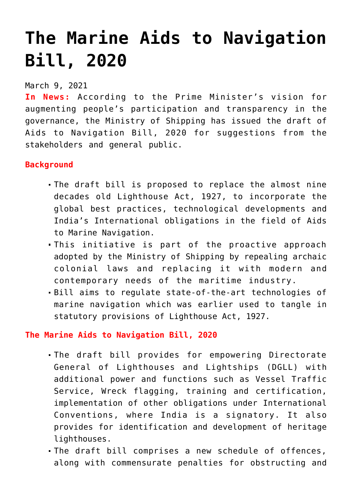## **[The Marine Aids to Navigation](https://journalsofindia.com/the-marine-aids-to-navigation-bill-2020/) [Bill, 2020](https://journalsofindia.com/the-marine-aids-to-navigation-bill-2020/)**

March 9, 2021

**In News:** According to the Prime Minister's vision for augmenting people's participation and transparency in the governance, the Ministry of Shipping has issued the draft of Aids to Navigation Bill, 2020 for suggestions from the stakeholders and general public.

## **Background**

- The draft bill is proposed to replace the almost nine decades old Lighthouse Act, 1927, to incorporate the global best practices, technological developments and India's International obligations in the field of Aids to Marine Navigation.
- This initiative is part of the proactive approach adopted by the Ministry of Shipping by repealing archaic colonial laws and replacing it with modern and contemporary needs of the maritime industry.
- Bill aims to regulate state-of-the-art technologies of marine navigation which was earlier used to tangle in statutory provisions of Lighthouse Act, 1927.

## **The Marine Aids to Navigation Bill, 2020**

- The draft bill provides for empowering Directorate General of Lighthouses and Lightships (DGLL) with additional power and functions such as Vessel Traffic Service, Wreck flagging, training and certification, implementation of other obligations under International Conventions, where India is a signatory. It also provides for identification and development of heritage lighthouses.
- The draft bill comprises a new schedule of offences, along with commensurate penalties for obstructing and